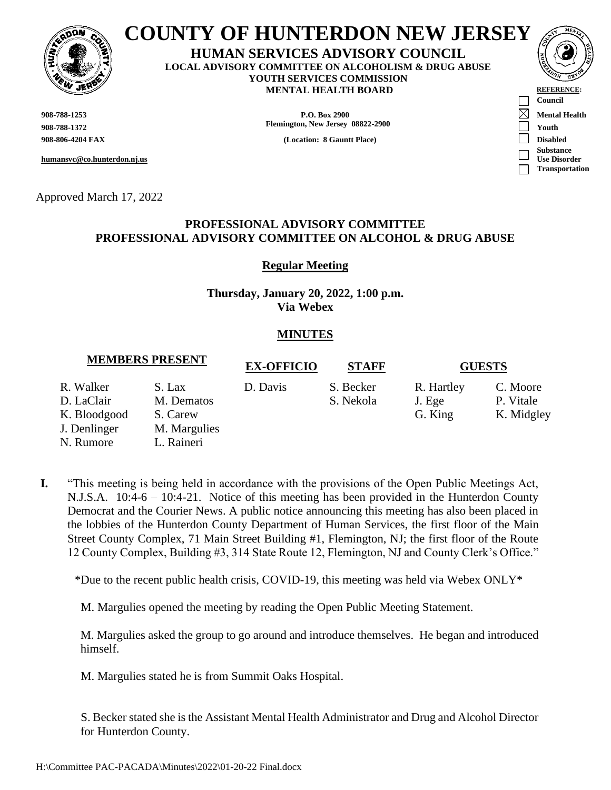

## **COUNTY OF HUNTERDON NEW JERSEY**

**HUMAN SERVICES ADVISORY COUNCIL LOCAL ADVISORY COMMITTEE ON ALCOHOLISM & DRUG ABUSE YOUTH SERVICES COMMISSION MENTAL HEALTH BOARD REFERENCE:** 

**humansvc@co.hunterdon.nj.us**

Approved March 17, 2022

#### **908-788-1253 P.O. Box 2900 Mental Health 908-788-1372 Flemington, New Jersey 08822-2900 Youth**

**908-806-4204 FAX (Location: 8 Gauntt Place) Disabled**



### **PROFESSIONAL ADVISORY COMMITTEE PROFESSIONAL ADVISORY COMMITTEE ON ALCOHOL & DRUG ABUSE**

**Regular Meeting**

**Thursday, January 20, 2022, 1:00 p.m. Via Webex**

### **MINUTES**

## **MEMBERS PRESENT EX-OFFICIO STAFF GUESTS**

R. Walker S. Lax D. Davis S. Becker R. Hartley C. Moore

- D. LaClair M. Dematos S. Nekola J. Ege P. Vitale
- K. Bloodgood S. Carew
- J. Denlinger M. Margulies
- N. Rumore L. Raineri
- 

# G. King K. Midgley

**I.** "This meeting is being held in accordance with the provisions of the Open Public Meetings Act, N.J.S.A. 10:4-6 – 10:4-21. Notice of this meeting has been provided in the Hunterdon County Democrat and the Courier News. A public notice announcing this meeting has also been placed in the lobbies of the Hunterdon County Department of Human Services, the first floor of the Main Street County Complex, 71 Main Street Building #1, Flemington, NJ; the first floor of the Route 12 County Complex, Building #3, 314 State Route 12, Flemington, NJ and County Clerk's Office."

\*Due to the recent public health crisis, COVID-19, this meeting was held via Webex ONLY\*

M. Margulies opened the meeting by reading the Open Public Meeting Statement.

M. Margulies asked the group to go around and introduce themselves. He began and introduced himself.

M. Margulies stated he is from Summit Oaks Hospital.

S. Becker stated she is the Assistant Mental Health Administrator and Drug and Alcohol Director for Hunterdon County.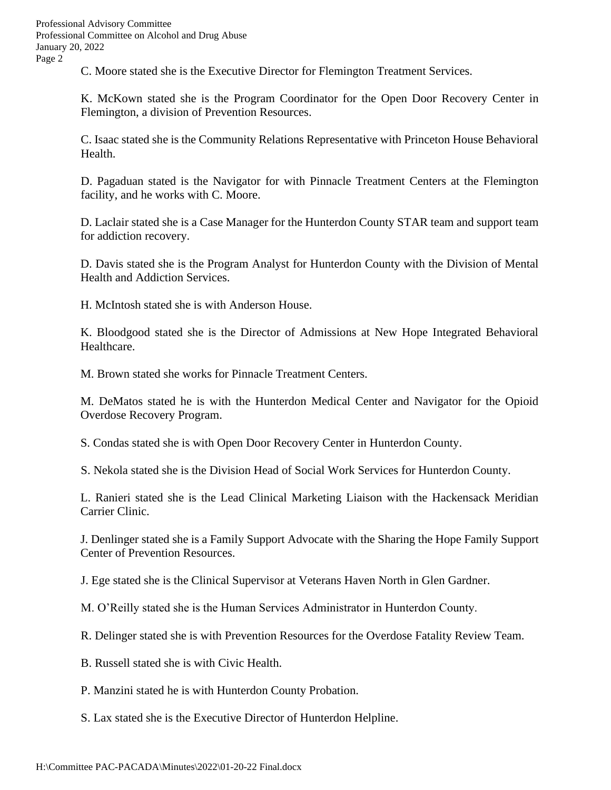C. Moore stated she is the Executive Director for Flemington Treatment Services.

K. McKown stated she is the Program Coordinator for the Open Door Recovery Center in Flemington, a division of Prevention Resources.

C. Isaac stated she is the Community Relations Representative with Princeton House Behavioral Health.

D. Pagaduan stated is the Navigator for with Pinnacle Treatment Centers at the Flemington facility, and he works with C. Moore.

D. Laclair stated she is a Case Manager for the Hunterdon County STAR team and support team for addiction recovery.

D. Davis stated she is the Program Analyst for Hunterdon County with the Division of Mental Health and Addiction Services.

H. McIntosh stated she is with Anderson House.

K. Bloodgood stated she is the Director of Admissions at New Hope Integrated Behavioral Healthcare.

M. Brown stated she works for Pinnacle Treatment Centers.

M. DeMatos stated he is with the Hunterdon Medical Center and Navigator for the Opioid Overdose Recovery Program.

S. Condas stated she is with Open Door Recovery Center in Hunterdon County.

S. Nekola stated she is the Division Head of Social Work Services for Hunterdon County.

L. Ranieri stated she is the Lead Clinical Marketing Liaison with the Hackensack Meridian Carrier Clinic.

J. Denlinger stated she is a Family Support Advocate with the Sharing the Hope Family Support Center of Prevention Resources.

J. Ege stated she is the Clinical Supervisor at Veterans Haven North in Glen Gardner.

M. O'Reilly stated she is the Human Services Administrator in Hunterdon County.

R. Delinger stated she is with Prevention Resources for the Overdose Fatality Review Team.

B. Russell stated she is with Civic Health.

P. Manzini stated he is with Hunterdon County Probation.

S. Lax stated she is the Executive Director of Hunterdon Helpline.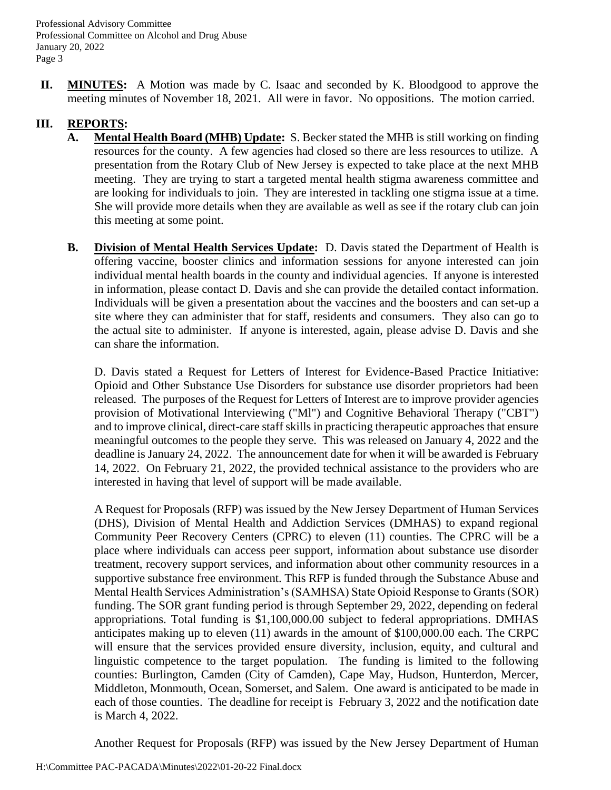**II. MINUTES:** A Motion was made by C. Isaac and seconded by K. Bloodgood to approve the meeting minutes of November 18, 2021. All were in favor. No oppositions. The motion carried.

### **III. REPORTS:**

- **A. Mental Health Board (MHB) Update:** S. Becker stated the MHB is still working on finding resources for the county. A few agencies had closed so there are less resources to utilize. A presentation from the Rotary Club of New Jersey is expected to take place at the next MHB meeting. They are trying to start a targeted mental health stigma awareness committee and are looking for individuals to join. They are interested in tackling one stigma issue at a time. She will provide more details when they are available as well as see if the rotary club can join this meeting at some point.
- **B. Division of Mental Health Services Update:** D. Davis stated the Department of Health is offering vaccine, booster clinics and information sessions for anyone interested can join individual mental health boards in the county and individual agencies. If anyone is interested in information, please contact D. Davis and she can provide the detailed contact information. Individuals will be given a presentation about the vaccines and the boosters and can set-up a site where they can administer that for staff, residents and consumers. They also can go to the actual site to administer. If anyone is interested, again, please advise D. Davis and she can share the information.

D. Davis stated a Request for Letters of Interest for Evidence-Based Practice Initiative: Opioid and Other Substance Use Disorders for substance use disorder proprietors had been released. The purposes of the Request for Letters of Interest are to improve provider agencies provision of Motivational Interviewing ("Ml") and Cognitive Behavioral Therapy ("CBT") and to improve clinical, direct-care staff skills in practicing therapeutic approaches that ensure meaningful outcomes to the people they serve. This was released on January 4, 2022 and the deadline is January 24, 2022. The announcement date for when it will be awarded is February 14, 2022. On February 21, 2022, the provided technical assistance to the providers who are interested in having that level of support will be made available.

A Request for Proposals (RFP) was issued by the New Jersey Department of Human Services (DHS), Division of Mental Health and Addiction Services (DMHAS) to expand regional Community Peer Recovery Centers (CPRC) to eleven (11) counties. The CPRC will be a place where individuals can access peer support, information about substance use disorder treatment, recovery support services, and information about other community resources in a supportive substance free environment. This RFP is funded through the Substance Abuse and Mental Health Services Administration's (SAMHSA) State Opioid Response to Grants (SOR) funding. The SOR grant funding period is through September 29, 2022, depending on federal appropriations. Total funding is \$1,100,000.00 subject to federal appropriations. DMHAS anticipates making up to eleven (11) awards in the amount of \$100,000.00 each. The CRPC will ensure that the services provided ensure diversity, inclusion, equity, and cultural and linguistic competence to the target population. The funding is limited to the following counties: Burlington, Camden (City of Camden), Cape May, Hudson, Hunterdon, Mercer, Middleton, Monmouth, Ocean, Somerset, and Salem. One award is anticipated to be made in each of those counties. The deadline for receipt is February 3, 2022 and the notification date is March 4, 2022.

Another Request for Proposals (RFP) was issued by the New Jersey Department of Human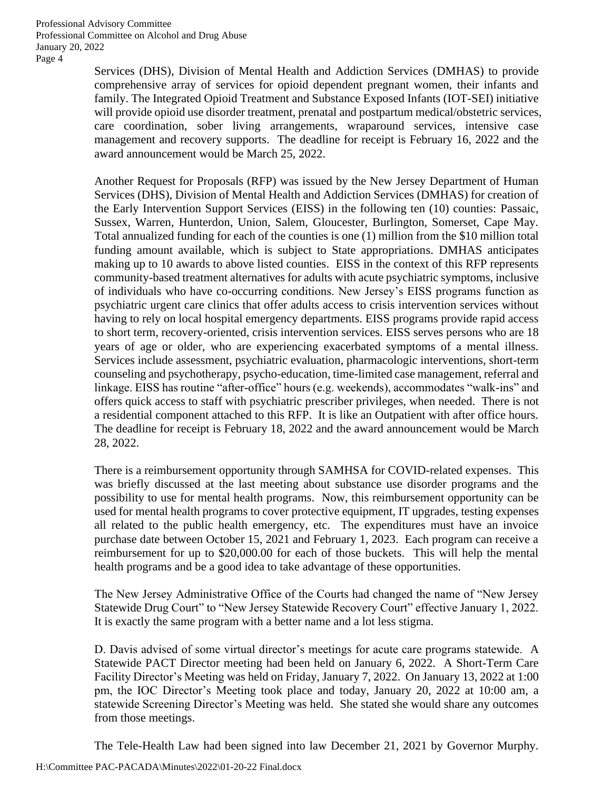> Services (DHS), Division of Mental Health and Addiction Services (DMHAS) to provide comprehensive array of services for opioid dependent pregnant women, their infants and family. The Integrated Opioid Treatment and Substance Exposed Infants (IOT-SEI) initiative will provide opioid use disorder treatment, prenatal and postpartum medical/obstetric services, care coordination, sober living arrangements, wraparound services, intensive case management and recovery supports. The deadline for receipt is February 16, 2022 and the award announcement would be March 25, 2022.

> Another Request for Proposals (RFP) was issued by the New Jersey Department of Human Services (DHS), Division of Mental Health and Addiction Services (DMHAS) for creation of the Early Intervention Support Services (EISS) in the following ten (10) counties: Passaic, Sussex, Warren, Hunterdon, Union, Salem, Gloucester, Burlington, Somerset, Cape May. Total annualized funding for each of the counties is one (1) million from the \$10 million total funding amount available, which is subject to State appropriations. DMHAS anticipates making up to 10 awards to above listed counties. EISS in the context of this RFP represents community-based treatment alternatives for adults with acute psychiatric symptoms, inclusive of individuals who have co-occurring conditions. New Jersey's EISS programs function as psychiatric urgent care clinics that offer adults access to crisis intervention services without having to rely on local hospital emergency departments. EISS programs provide rapid access to short term, recovery-oriented, crisis intervention services. EISS serves persons who are 18 years of age or older, who are experiencing exacerbated symptoms of a mental illness. Services include assessment, psychiatric evaluation, pharmacologic interventions, short-term counseling and psychotherapy, psycho-education, time-limited case management, referral and linkage. EISS has routine "after-office" hours (e.g. weekends), accommodates "walk-ins" and offers quick access to staff with psychiatric prescriber privileges, when needed. There is not a residential component attached to this RFP. It is like an Outpatient with after office hours. The deadline for receipt is February 18, 2022 and the award announcement would be March 28, 2022.

> There is a reimbursement opportunity through SAMHSA for COVID-related expenses. This was briefly discussed at the last meeting about substance use disorder programs and the possibility to use for mental health programs. Now, this reimbursement opportunity can be used for mental health programs to cover protective equipment, IT upgrades, testing expenses all related to the public health emergency, etc. The expenditures must have an invoice purchase date between October 15, 2021 and February 1, 2023. Each program can receive a reimbursement for up to \$20,000.00 for each of those buckets. This will help the mental health programs and be a good idea to take advantage of these opportunities.

> The New Jersey Administrative Office of the Courts had changed the name of "New Jersey Statewide Drug Court" to "New Jersey Statewide Recovery Court" effective January 1, 2022. It is exactly the same program with a better name and a lot less stigma.

> D. Davis advised of some virtual director's meetings for acute care programs statewide. A Statewide PACT Director meeting had been held on January 6, 2022. A Short-Term Care Facility Director's Meeting was held on Friday, January 7, 2022. On January 13, 2022 at 1:00 pm, the IOC Director's Meeting took place and today, January 20, 2022 at 10:00 am, a statewide Screening Director's Meeting was held. She stated she would share any outcomes from those meetings.

> The Tele-Health Law had been signed into law December 21, 2021 by Governor Murphy.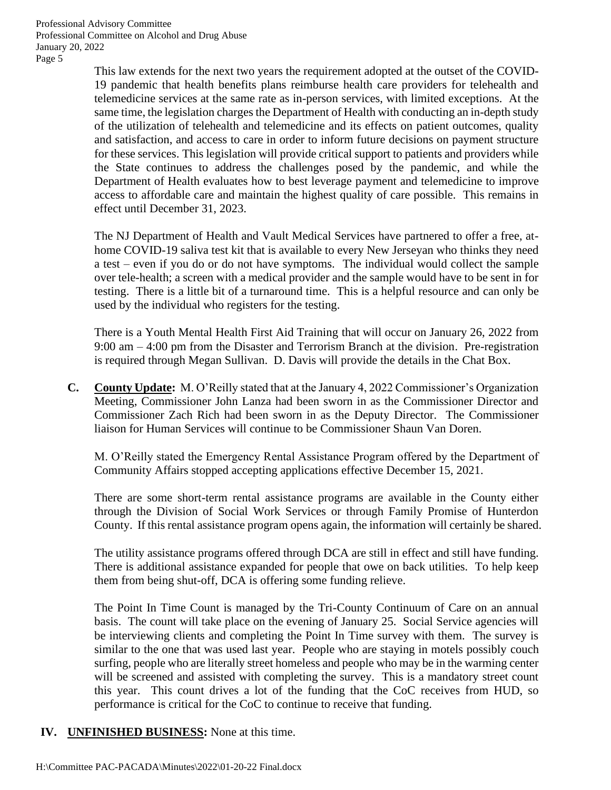> This law extends for the next two years the requirement adopted at the outset of the COVID-19 pandemic that health benefits plans reimburse health care providers for telehealth and telemedicine services at the same rate as in-person services, with limited exceptions. At the same time, the legislation charges the Department of Health with conducting an in-depth study of the utilization of telehealth and telemedicine and its effects on patient outcomes, quality and satisfaction, and access to care in order to inform future decisions on payment structure for these services. This legislation will provide critical support to patients and providers while the State continues to address the challenges posed by the pandemic, and while the Department of Health evaluates how to best leverage payment and telemedicine to improve access to affordable care and maintain the highest quality of care possible. This remains in effect until December 31, 2023.

> The NJ Department of Health and Vault Medical Services have partnered to offer a free, athome COVID-19 saliva test kit that is available to every New Jerseyan who thinks they need a test – even if you do or do not have symptoms. The individual would collect the sample over tele-health; a screen with a medical provider and the sample would have to be sent in for testing. There is a little bit of a turnaround time. This is a helpful resource and can only be used by the individual who registers for the testing.

> There is a Youth Mental Health First Aid Training that will occur on January 26, 2022 from 9:00 am – 4:00 pm from the Disaster and Terrorism Branch at the division. Pre-registration is required through Megan Sullivan. D. Davis will provide the details in the Chat Box.

**C. County Update:** M. O'Reilly stated that at the January 4, 2022 Commissioner's Organization Meeting, Commissioner John Lanza had been sworn in as the Commissioner Director and Commissioner Zach Rich had been sworn in as the Deputy Director. The Commissioner liaison for Human Services will continue to be Commissioner Shaun Van Doren.

M. O'Reilly stated the Emergency Rental Assistance Program offered by the Department of Community Affairs stopped accepting applications effective December 15, 2021.

There are some short-term rental assistance programs are available in the County either through the Division of Social Work Services or through Family Promise of Hunterdon County. If this rental assistance program opens again, the information will certainly be shared.

The utility assistance programs offered through DCA are still in effect and still have funding. There is additional assistance expanded for people that owe on back utilities. To help keep them from being shut-off, DCA is offering some funding relieve.

The Point In Time Count is managed by the Tri-County Continuum of Care on an annual basis. The count will take place on the evening of January 25. Social Service agencies will be interviewing clients and completing the Point In Time survey with them. The survey is similar to the one that was used last year. People who are staying in motels possibly couch surfing, people who are literally street homeless and people who may be in the warming center will be screened and assisted with completing the survey. This is a mandatory street count this year. This count drives a lot of the funding that the CoC receives from HUD, so performance is critical for the CoC to continue to receive that funding.

**IV. UNFINISHED BUSINESS:** None at this time.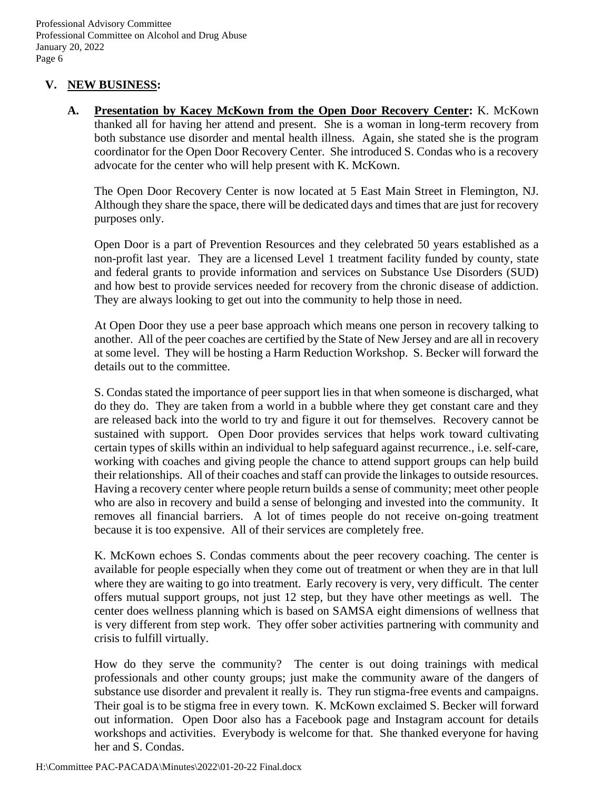### **V. NEW BUSINES[S:](http://www.nj.gov/state/volunteer-in-nj.shtml)**

**A. Presentation by Kacey McKown from the Open Door Recovery Center:** K. McKown thanked all for having her attend and present. She is a woman in long-term recovery from both substance use disorder and mental health illness. Again, she stated she is the program coordinator for the Open Door Recovery Center. She introduced S. Condas who is a recovery advocate for the center who will help present with K. McKown.

The Open Door Recovery Center is now located at 5 East Main Street in Flemington, NJ. Although they share the space, there will be dedicated days and times that are just for recovery purposes only.

Open Door is a part of Prevention Resources and they celebrated 50 years established as a non-profit last year. They are a licensed Level 1 treatment facility funded by county, state and federal grants to provide information and services on Substance Use Disorders (SUD) and how best to provide services needed for recovery from the chronic disease of addiction. They are always looking to get out into the community to help those in need.

At Open Door they use a peer base approach which means one person in recovery talking to another. All of the peer coaches are certified by the State of New Jersey and are all in recovery at some level. They will be hosting a Harm Reduction Workshop. S. Becker will forward the details out to the committee.

S. Condas stated the importance of peer support lies in that when someone is discharged, what do they do. They are taken from a world in a bubble where they get constant care and they are released back into the world to try and figure it out for themselves. Recovery cannot be sustained with support. Open Door provides services that helps work toward cultivating certain types of skills within an individual to help safeguard against recurrence., i.e. self-care, working with coaches and giving people the chance to attend support groups can help build their relationships. All of their coaches and staff can provide the linkages to outside resources. Having a recovery center where people return builds a sense of community; meet other people who are also in recovery and build a sense of belonging and invested into the community. It removes all financial barriers. A lot of times people do not receive on-going treatment because it is too expensive. All of their services are completely free.

K. McKown echoes S. Condas comments about the peer recovery coaching. The center is available for people especially when they come out of treatment or when they are in that lull where they are waiting to go into treatment. Early recovery is very, very difficult. The center offers mutual support groups, not just 12 step, but they have other meetings as well. The center does wellness planning which is based on SAMSA eight dimensions of wellness that is very different from step work. They offer sober activities partnering with community and crisis to fulfill virtually.

How do they serve the community? The center is out doing trainings with medical professionals and other county groups; just make the community aware of the dangers of substance use disorder and prevalent it really is. They run stigma-free events and campaigns. Their goal is to be stigma free in every town. K. McKown exclaimed S. Becker will forward out information. Open Door also has a Facebook page and Instagram account for details workshops and activities. Everybody is welcome for that. She thanked everyone for having her and S. Condas.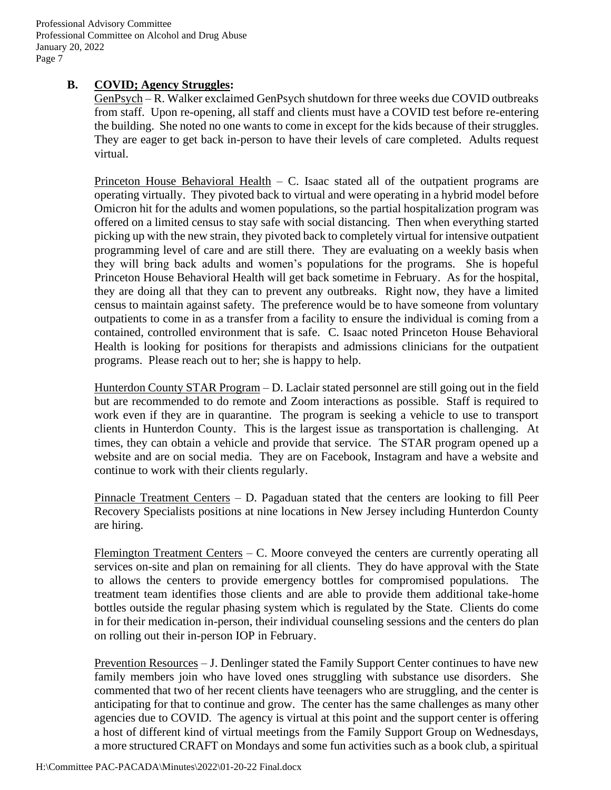### **B. COVID; Agency Struggles:**

GenPsych – R. Walker exclaimed GenPsych shutdown for three weeks due COVID outbreaks from staff. Upon re-opening, all staff and clients must have a COVID test before re-entering the building. She noted no one wants to come in except for the kids because of their struggles. They are eager to get back in-person to have their levels of care completed. Adults request virtual.

Princeton House Behavioral Health  $-$  C. Isaac stated all of the outpatient programs are operating virtually. They pivoted back to virtual and were operating in a hybrid model before Omicron hit for the adults and women populations, so the partial hospitalization program was offered on a limited census to stay safe with social distancing. Then when everything started picking up with the new strain, they pivoted back to completely virtual for intensive outpatient programming level of care and are still there. They are evaluating on a weekly basis when they will bring back adults and women's populations for the programs. She is hopeful Princeton House Behavioral Health will get back sometime in February. As for the hospital, they are doing all that they can to prevent any outbreaks. Right now, they have a limited census to maintain against safety. The preference would be to have someone from voluntary outpatients to come in as a transfer from a facility to ensure the individual is coming from a contained, controlled environment that is safe. C. Isaac noted Princeton House Behavioral Health is looking for positions for therapists and admissions clinicians for the outpatient programs. Please reach out to her; she is happy to help.

Hunterdon County STAR Program – D. Laclair stated personnel are still going out in the field but are recommended to do remote and Zoom interactions as possible. Staff is required to work even if they are in quarantine. The program is seeking a vehicle to use to transport clients in Hunterdon County. This is the largest issue as transportation is challenging. At times, they can obtain a vehicle and provide that service. The STAR program opened up a website and are on social media. They are on Facebook, Instagram and have a website and continue to work with their clients regularly.

Pinnacle Treatment Centers – D. Pagaduan stated that the centers are looking to fill Peer Recovery Specialists positions at nine locations in New Jersey including Hunterdon County are hiring.

Flemington Treatment Centers – C. Moore conveyed the centers are currently operating all services on-site and plan on remaining for all clients. They do have approval with the State to allows the centers to provide emergency bottles for compromised populations. The treatment team identifies those clients and are able to provide them additional take-home bottles outside the regular phasing system which is regulated by the State. Clients do come in for their medication in-person, their individual counseling sessions and the centers do plan on rolling out their in-person IOP in February.

Prevention Resources – J. Denlinger stated the Family Support Center continues to have new family members join who have loved ones struggling with substance use disorders. She commented that two of her recent clients have teenagers who are struggling, and the center is anticipating for that to continue and grow. The center has the same challenges as many other agencies due to COVID. The agency is virtual at this point and the support center is offering a host of different kind of virtual meetings from the Family Support Group on Wednesdays, a more structured CRAFT on Mondays and some fun activities such as a book club, a spiritual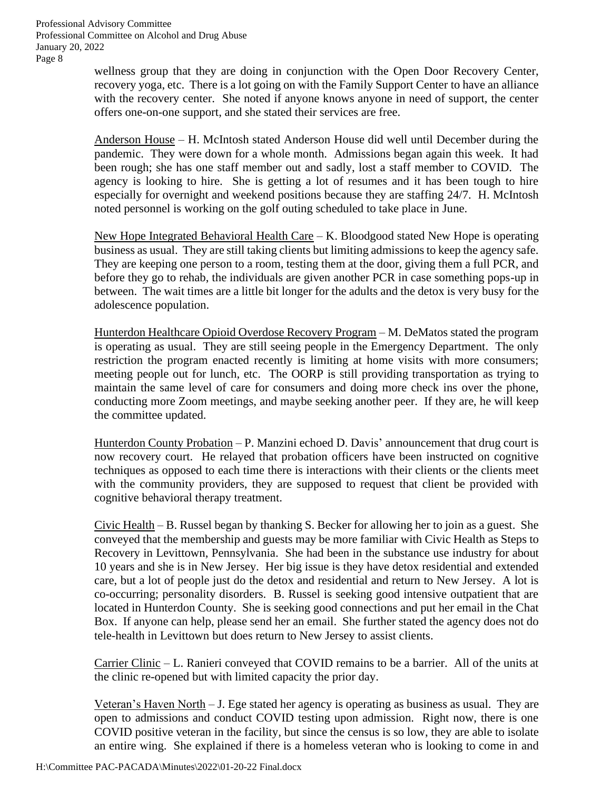> wellness group that they are doing in conjunction with the Open Door Recovery Center, recovery yoga, etc. There is a lot going on with the Family Support Center to have an alliance with the recovery center. She noted if anyone knows anyone in need of support, the center offers one-on-one support, and she stated their services are free.

> Anderson House – H. McIntosh stated Anderson House did well until December during the pandemic. They were down for a whole month. Admissions began again this week. It had been rough; she has one staff member out and sadly, lost a staff member to COVID. The agency is looking to hire. She is getting a lot of resumes and it has been tough to hire especially for overnight and weekend positions because they are staffing 24/7. H. McIntosh noted personnel is working on the golf outing scheduled to take place in June.

> New Hope Integrated Behavioral Health Care – K. Bloodgood stated New Hope is operating business as usual. They are still taking clients but limiting admissions to keep the agency safe. They are keeping one person to a room, testing them at the door, giving them a full PCR, and before they go to rehab, the individuals are given another PCR in case something pops-up in between. The wait times are a little bit longer for the adults and the detox is very busy for the adolescence population.

> Hunterdon Healthcare Opioid Overdose Recovery Program – M. DeMatos stated the program is operating as usual. They are still seeing people in the Emergency Department. The only restriction the program enacted recently is limiting at home visits with more consumers; meeting people out for lunch, etc. The OORP is still providing transportation as trying to maintain the same level of care for consumers and doing more check ins over the phone, conducting more Zoom meetings, and maybe seeking another peer. If they are, he will keep the committee updated.

> Hunterdon County Probation – P. Manzini echoed D. Davis' announcement that drug court is now recovery court. He relayed that probation officers have been instructed on cognitive techniques as opposed to each time there is interactions with their clients or the clients meet with the community providers, they are supposed to request that client be provided with cognitive behavioral therapy treatment.

> Civic Health – B. Russel began by thanking S. Becker for allowing her to join as a guest. She conveyed that the membership and guests may be more familiar with Civic Health as Steps to Recovery in Levittown, Pennsylvania. She had been in the substance use industry for about 10 years and she is in New Jersey. Her big issue is they have detox residential and extended care, but a lot of people just do the detox and residential and return to New Jersey. A lot is co-occurring; personality disorders. B. Russel is seeking good intensive outpatient that are located in Hunterdon County. She is seeking good connections and put her email in the Chat Box. If anyone can help, please send her an email. She further stated the agency does not do tele-health in Levittown but does return to New Jersey to assist clients.

> Carrier Clinic – L. Ranieri conveyed that COVID remains to be a barrier. All of the units at the clinic re-opened but with limited capacity the prior day.

> Veteran's Haven North – J. Ege stated her agency is operating as business as usual. They are open to admissions and conduct COVID testing upon admission. Right now, there is one COVID positive veteran in the facility, but since the census is so low, they are able to isolate an entire wing. She explained if there is a homeless veteran who is looking to come in and